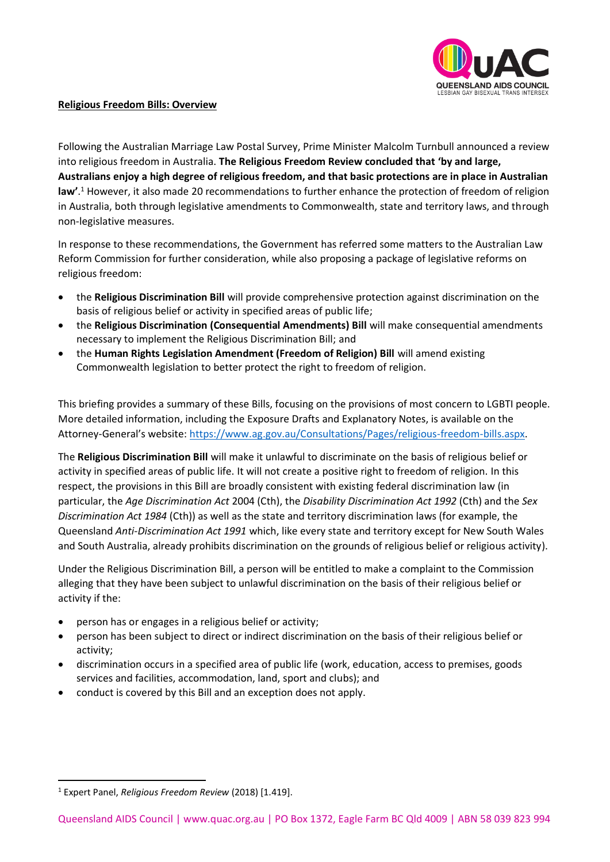

## **Religious Freedom Bills: Overview**

Following the Australian Marriage Law Postal Survey, Prime Minister Malcolm Turnbull announced a review into religious freedom in Australia. **The Religious Freedom Review concluded that 'by and large, Australians enjoy a high degree of religious freedom, and that basic protections are in place in Australian law'**. <sup>1</sup> However, it also made 20 recommendations to further enhance the protection of freedom of religion in Australia, both through legislative amendments to Commonwealth, state and territory laws, and through non-legislative measures.

In response to these recommendations, the Government has referred some matters to the Australian Law Reform Commission for further consideration, while also proposing a package of legislative reforms on religious freedom:

- the **Religious Discrimination Bill** will provide comprehensive protection against discrimination on the basis of religious belief or activity in specified areas of public life;
- the **Religious Discrimination (Consequential Amendments) Bill** will make consequential amendments necessary to implement the Religious Discrimination Bill; and
- the **Human Rights Legislation Amendment (Freedom of Religion) Bill** will amend existing Commonwealth legislation to better protect the right to freedom of religion.

This briefing provides a summary of these Bills, focusing on the provisions of most concern to LGBTI people. More detailed information, including the Exposure Drafts and Explanatory Notes, is available on the Attorney-General's website: [https://www.ag.gov.au/Consultations/Pages/religious-freedom-bills.aspx.](https://www.ag.gov.au/Consultations/Pages/religious-freedom-bills.aspx)

The **Religious Discrimination Bill** will make it unlawful to discriminate on the basis of religious belief or activity in specified areas of public life. It will not create a positive right to freedom of religion. In this respect, the provisions in this Bill are broadly consistent with existing federal discrimination law (in particular, the *Age Discrimination Act* 2004 (Cth), the *Disability Discrimination Act 1992* (Cth) and the *Sex Discrimination Act 1984* (Cth)) as well as the state and territory discrimination laws (for example, the Queensland *Anti-Discrimination Act 1991* which, like every state and territory except for New South Wales and South Australia, already prohibits discrimination on the grounds of religious belief or religious activity).

Under the Religious Discrimination Bill, a person will be entitled to make a complaint to the Commission alleging that they have been subject to unlawful discrimination on the basis of their religious belief or activity if the:

- person has or engages in a religious belief or activity;
- person has been subject to direct or indirect discrimination on the basis of their religious belief or activity;
- discrimination occurs in a specified area of public life (work, education, access to premises, goods services and facilities, accommodation, land, sport and clubs); and
- conduct is covered by this Bill and an exception does not apply.

<sup>1</sup> Expert Panel, *Religious Freedom Review* (2018) [1.419].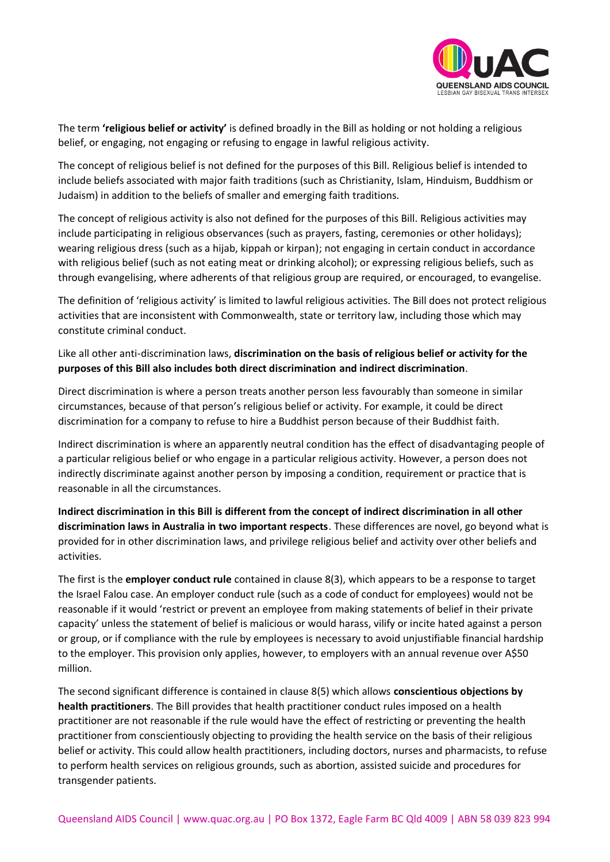

The term **'religious belief or activity'** is defined broadly in the Bill as holding or not holding a religious belief, or engaging, not engaging or refusing to engage in lawful religious activity.

The concept of religious belief is not defined for the purposes of this Bill. Religious belief is intended to include beliefs associated with major faith traditions (such as Christianity, Islam, Hinduism, Buddhism or Judaism) in addition to the beliefs of smaller and emerging faith traditions.

The concept of religious activity is also not defined for the purposes of this Bill. Religious activities may include participating in religious observances (such as prayers, fasting, ceremonies or other holidays); wearing religious dress (such as a hijab, kippah or kirpan); not engaging in certain conduct in accordance with religious belief (such as not eating meat or drinking alcohol); or expressing religious beliefs, such as through evangelising, where adherents of that religious group are required, or encouraged, to evangelise.

The definition of 'religious activity' is limited to lawful religious activities. The Bill does not protect religious activities that are inconsistent with Commonwealth, state or territory law, including those which may constitute criminal conduct.

## Like all other anti-discrimination laws, **discrimination on the basis of religious belief or activity for the purposes of this Bill also includes both direct discrimination and indirect discrimination**.

Direct discrimination is where a person treats another person less favourably than someone in similar circumstances, because of that person's religious belief or activity. For example, it could be direct discrimination for a company to refuse to hire a Buddhist person because of their Buddhist faith.

Indirect discrimination is where an apparently neutral condition has the effect of disadvantaging people of a particular religious belief or who engage in a particular religious activity. However, a person does not indirectly discriminate against another person by imposing a condition, requirement or practice that is reasonable in all the circumstances.

**Indirect discrimination in this Bill is different from the concept of indirect discrimination in all other discrimination laws in Australia in two important respects**. These differences are novel, go beyond what is provided for in other discrimination laws, and privilege religious belief and activity over other beliefs and activities.

The first is the **employer conduct rule** contained in clause 8(3), which appears to be a response to target the Israel Falou case. An employer conduct rule (such as a code of conduct for employees) would not be reasonable if it would 'restrict or prevent an employee from making statements of belief in their private capacity' unless the statement of belief is malicious or would harass, vilify or incite hated against a person or group, or if compliance with the rule by employees is necessary to avoid unjustifiable financial hardship to the employer. This provision only applies, however, to employers with an annual revenue over A\$50 million.

The second significant difference is contained in clause 8(5) which allows **conscientious objections by health practitioners**. The Bill provides that health practitioner conduct rules imposed on a health practitioner are not reasonable if the rule would have the effect of restricting or preventing the health practitioner from conscientiously objecting to providing the health service on the basis of their religious belief or activity. This could allow health practitioners, including doctors, nurses and pharmacists, to refuse to perform health services on religious grounds, such as abortion, assisted suicide and procedures for transgender patients.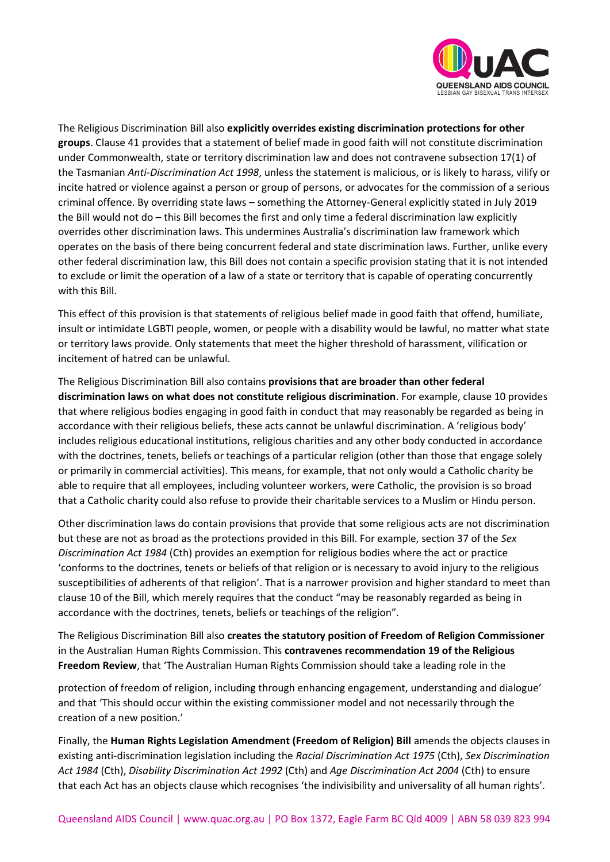

The Religious Discrimination Bill also **explicitly overrides existing discrimination protections for other groups**. Clause 41 provides that a statement of belief made in good faith will not constitute discrimination under Commonwealth, state or territory discrimination law and does not contravene subsection 17(1) of the Tasmanian *Anti-Discrimination Act 1998*, unless the statement is malicious, or is likely to harass, vilify or incite hatred or violence against a person or group of persons, or advocates for the commission of a serious criminal offence. By overriding state laws – something the Attorney-General explicitly stated in July 2019 the Bill would not do – this Bill becomes the first and only time a federal discrimination law explicitly overrides other discrimination laws. This undermines Australia's discrimination law framework which operates on the basis of there being concurrent federal and state discrimination laws. Further, unlike every other federal discrimination law, this Bill does not contain a specific provision stating that it is not intended to exclude or limit the operation of a law of a state or territory that is capable of operating concurrently with this Bill.

This effect of this provision is that statements of religious belief made in good faith that offend, humiliate, insult or intimidate LGBTI people, women, or people with a disability would be lawful, no matter what state or territory laws provide. Only statements that meet the higher threshold of harassment, vilification or incitement of hatred can be unlawful.

The Religious Discrimination Bill also contains **provisions that are broader than other federal discrimination laws on what does not constitute religious discrimination**. For example, clause 10 provides that where religious bodies engaging in good faith in conduct that may reasonably be regarded as being in accordance with their religious beliefs, these acts cannot be unlawful discrimination. A 'religious body' includes religious educational institutions, religious charities and any other body conducted in accordance with the doctrines, tenets, beliefs or teachings of a particular religion (other than those that engage solely or primarily in commercial activities). This means, for example, that not only would a Catholic charity be able to require that all employees, including volunteer workers, were Catholic, the provision is so broad that a Catholic charity could also refuse to provide their charitable services to a Muslim or Hindu person.

Other discrimination laws do contain provisions that provide that some religious acts are not discrimination but these are not as broad as the protections provided in this Bill. For example, section 37 of the *Sex Discrimination Act 1984* (Cth) provides an exemption for religious bodies where the act or practice 'conforms to the doctrines, tenets or beliefs of that religion or is necessary to avoid injury to the religious susceptibilities of adherents of that religion'. That is a narrower provision and higher standard to meet than clause 10 of the Bill, which merely requires that the conduct "may be reasonably regarded as being in accordance with the doctrines, tenets, beliefs or teachings of the religion".

The Religious Discrimination Bill also **creates the statutory position of Freedom of Religion Commissioner** in the Australian Human Rights Commission. This **contravenes recommendation 19 of the Religious Freedom Review**, that 'The Australian Human Rights Commission should take a leading role in the

protection of freedom of religion, including through enhancing engagement, understanding and dialogue' and that 'This should occur within the existing commissioner model and not necessarily through the creation of a new position.'

Finally, the **Human Rights Legislation Amendment (Freedom of Religion) Bill** amends the objects clauses in existing anti-discrimination legislation including the *Racial Discrimination Act 1975* (Cth), *Sex Discrimination Act 1984* (Cth), *Disability Discrimination Act 1992* (Cth) and *Age Discrimination Act 2004* (Cth) to ensure that each Act has an objects clause which recognises 'the indivisibility and universality of all human rights'.